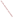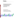![](_page_1_Picture_0.jpeg)

# **Environmental Technology Verification Program** Advanced Monitoring Systems Pilot

Test/QA Plan for Verification of On-Board Vehicle Emissions Monitors

![](_page_1_Picture_3.jpeg)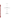# **TEST/QA PLAN**

**FOR** 

# **VERIFICATION OF ON-BOARD VEHICLE EMISSIONS MONITORS**

**April 26, 2001** 

**Prepared by** 

**Battelle 505 King Avenue Columbus, OH 43201-2693**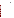Page ii Test/QA Plan for Verification of On-Board Emissions Monitors Version: 1.0

# **APPROVAL**

\_\_\_\_\_\_\_\_\_\_\_\_\_\_\_\_\_\_\_\_\_\_\_\_\_\_\_ \_\_\_\_\_\_\_\_\_\_\_\_\_\_\_\_\_\_\_\_\_\_\_\_\_\_ \_\_\_\_\_\_\_\_\_\_\_\_\_\_\_\_\_\_

Vendor Company (Print) Signature Date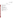Page iii Test/QA Plan for Verification of On-Board Emissions Monitors Version: 1.0

## **DISTRIBUTION**

Battelle has provided a copy of this Test/QA Plan to the following individuals.

# **EPA**

Robert Fuerst, Pilot Manager, Elizabeth Hunike, Pilot Quality Manager, Elizabeth Betz, Pilot Quality Manager,

# **Battelle**

Karen Riggs, Pilot Manager Thomas Kelly, Verification Testing Leader Charles Lawrie, Quality Manager Kenneth Cowen, Verification Testing Coordinator Jeffrey Myers, Verification Testing Coordinator

## **Peer Reviewers**

Jeff Cook, California Air Resources Board Clifford Glowacki, Casting Emissions Reduction Program Donald Stedman, University of Denver

# **Test Facility**

Walt Dudek, Automotive Testing Laboratory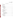Page iv Test/QA Plan for Verification of **On-Board Emissions Monitors** Version: 1.0

# **TABLE OF CONTENTS**

| 5.2.2. |  |
|--------|--|
|        |  |
|        |  |
|        |  |
|        |  |
|        |  |
|        |  |
|        |  |
|        |  |
|        |  |
|        |  |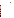Page v Test/QA Plan for Verification of On-Board Emissions Monitors Version: 1.0

# **LIST OF FIGURES**

1. Organizational Chart for On-Board Vehicle Emissions Monitor Verification Test ......... 9

# **LIST OF TABLES**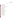Page vi Test/QA Plan for Verification of On-Board Emissions Monitors Version: 1.0

## **ACRONYMS**

- **AMS**  Advanced Monitoring Systems
- **CL**  chemiluminescence analyzer
- **CO**  carbon monoxide
- **CO2**  carbon dioxide
- **EPA**  United States Environmental Protection Agency
- **ETV**  Environmental Technology Verification
- **FTP**  Federal Test Procedure
- **GC**  gas chromatography
- **g/mi**  grams per mile
- **FID**  flame ionization detector
- **LDV**  light duty vehicle
- **LRB**  laboratory record book
- **mph**  miles per hour
- **NDIR**  non-dispersive infrared spectrometry
- **NMHC**  non-methane hydrocarbons
- $NO<sub>x</sub>$  nitrogen oxides
- **OBD**  on-board diagnostic
- **OEM**  on-board emissions monitor
- **QA**  quality assurance
- **QC -** quality control
- **QMP**  quality management plan
- **rpm**  revolutions per minute
- **THC**  total hydrocarbons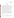Page 1 of 26 Test/QA Plan for Verification of On-Board Emissions Monitors Version: 1.0

## **1. INTRODUCTION**

#### **1.1. ETV Background**

This test/quality assurance (QA) plan provides detailed procedures for a verification test of monitors that continuously measure the concentration of various gaseous components of vehicle emissions under normal operating conditions (i.e., on-road driving), and may provide quantitative vehicle emissions data (e.g. g/mi emission rates) based on live engine data scanning. The verification test will be conducted under the auspices of the U.S. Environmental Protection Agency (EPA) through its Environmental Technology Verification (ETV) program. The purpose of the ETV program is to provide objective and quality assured performance data on environmental technologies, so that users, developers, regulators, and consultants can make informed decisions about these technologies. ETV verification does not imply approval, certification, or designation by EPA, but rather provides a quantitative assessment of the performance of a technology under specified test conditions.

The verification test will be coordinated by Battelle, of Columbus, Ohio, who is EPA's partner in the ETV Advanced Monitoring Systems (AMS) pilot through cooperative agreement CR 826215-01-1. The scope of the AMS pilot covers verification of monitoring technologies for contaminants and natural species in air, water, and soil. In performing the verification test, Battelle will follow the procedures specified in this test/QA plan, and will comply with the data quality requirements in the "Quality Management Plan for the ETV Advanced Monitoring Systems Pilot"  $(QMP)^1$ .

## **1.2. Test Objective**

The purpose of this verification test is to evaluate the performance of on-board vehicle emissions monitors (OEM) under realistic operating conditions. Specifically, these monitors will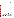Page 2 of 26 Test/QA Plan for Verification of On-Board Emissions Monitors Version: 1.0

be evaluated by comparisons with chassis dynamometer test results to assess accuracy and reproducibility, and through operation during normal on-road driving to assess performance under realistic conditions. The effect of temperature on the performance of the OEMs will be assessed by varying the dynamometer cell conditions under which selected tests are performed. The unit-to-unit reproducibility of the OEM will be evaluated from comparisons between duplicate monitors during both the dynamometer tests and the on-road driving tests. General performance characteristics of these OEMs, such as reliability and ease of use, will also be evaluated through observations by the test personnel.

## **1.3 Test Applicability**

This test/QA plan is applicable to the verification testing of vehicle emissions monitors which can be operated on-board a vehicle under normal driving conditions. The OEMs to be tested are capable of providing real-time concentration measurements of several key pollutants in vehicle exhaust, and in some cases, quantitative emission rates (e.g., g/mi) as calculated from the concentration measurements and live engine parameter data. In accordance with the intent of the ETV program, the OEMs to be tested are commercially available, and not developmental products or prototypes.

## **2. TECHNOLOGY DESCRIPTION**

This document details the procedures for the verification testing of technologies which can be mounted in a variety of light or heavy duty vehicles and are capable of monitoring emissions from these vehicles under routine driving conditions. These OEMs are portable, weighing up to approximately 60 lbs., and can be installed in the passenger seat or trunk of most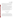vehicles without modifications to the vehicle. The OEMs can measure exhaust emissions of vehicles during their regular operation. In some cases the OEMs also simultaneously collect live engine data from vehicles equipped with on-board diagnostic (OBD) ports, to monitor fuel consumption as well as operating characteristics of the vehicles. These OEMs use the live engine data to determine real-time emission rates.

The basic component of the OEMs to be tested in this verification test is a multi-gas analyzer for measuring the composition of the vehicle exhaust. Additionally, these OEMs may include other components such as a laptop computer to collect, process, and store data, or an engine diagnostic scanner to monitor engine data. For those OEMs with engine scanning capabilities, the computer uses live engine data to compute exhaust mass flow, which, when multiplied by the measured concentrations of exhaust gases, yields grams per second data. Grams per mile emissions are then calculated from the vehicle speed and time data.

The primary components of the OEMs are contained in a single case, which can be installed in the passenger seat of most domestic cars and trucks. The OEMs are designed for automatic operation such that no user attention is needed during operation.

## **3. VERIFICATION APPROACH**

## **3.1. Scope of Testing**

The objective of this test is to evaluate the performance of OEMs under realistic operating conditions. It is not the intent of this test to determine emissions data for the vehicles used in the test. Rather, the intent is to establish the performance capabilities of these OEMs under normal driving conditions (i.e., on the road) as well as in standard vehicle test cycles using dynamometers. To achieve this goal, this verification test will involve two phases. The first phase of testing will involve comparisons between the OEMs and the current standard for vehicle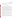emissions monitoring, namely dynamometer testing. The second phase of verification will involve performance evaluation of the OEMs during on road testing. In all tests two duplicate units of each OEM will be operated side-by-side.

## **3.2. Experimental Design**

This section describes the experimental design for this OEM verification test. The approach is based on the primary objectives of this test: to assess the overall accuracy (i.e., bias and precision) of an OEM relative to a chassis dynamometer, and to assess OEM performance under real-world conditions. The approach to the verification test is summarized below, and the statistical methodology for establishing bias and precision are described in Section 6.2.

For this test, three gasoline-powered light duty vehicles (LDV) will be recruited by the test facility for both chassis dynamometer testing and road testing. The vehicles will be chosen to include current models of vehicles that popular in the on-road fleet. Furthermore, the vehicles will be chosen by the test facility such that they include a wide range of emission rates and engine sizes (i.e., 4, 6, 8 cylinder). The vehicles will also be chosen such that both the mass flow, and speed density methods used by the engine diagnostic system to determine exhaust mass are included in the test.

In order to establish intra-method precision (i.e., unit-to-unit relative error), it is necessary to include duplicate OEMs as part of the study design (see Section 6.2). This approach is analogous to the use of co-located monitors for establishing the precision of ambient air monitoring sampling and analytical techniques. Duplicate OEMs will be operated in both phases of the verification test.

In the first phase of the verification test, the vehicles will be operated on a chassis dynamometer and the vehicle emissions will be monitored by both the OEMs being verified and by laboratory reference methods. Given the goal of evaluating OEM performance under realworld conditions, it is important to perform an array of dynamometer test runs. Consequently,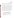US EPA ARCHIVE DOCUMENT

Page 5 of 26 Test/QA Plan for Verification of On-Board Emissions Monitors Version: 1.0

the vehicles will each be operated on two test cycles: the Federal Test Procedure (FTP),<sup>2</sup> and the  $US06<sup>2</sup>$  cycle. The use of different vehicle emission rates, along with the different test cycles, will provide a range of real-world conditions under which bias and precision results are to be obtained.

Three runs under each test scenario (i.e., under each test cycle and vehicle combination) will be conducted. There are two important reasons for including multiple runs in the design of the test. First, multiple runs provide information on test-to-test repeatability. Such data are essential for establishing the reliability of the reference method results, which are treated as the "truth" or "gold standard" to which OEM results are to be compared. Second, triplicate runs allow for statistically testing whether or not interactions between vehicle type and test cycle have an impact on observed bias and precision. For example, it may be the case that levels of bias and/or precision differ from vehicle to vehicle, but only when the FTP test cycle is run and not the US06. As another example, one vehicle type may show consistent bias and precision across both test cycles, while the other two vary in bias and precision depending on test cycle. Without multiple runs, the statistical significance of such interaction cannot be determined.

A summary of the dynamometer runs to be performed in this verification test is provided in Table 1.

| <b>Test cycle</b> | Vehicle 1 | <b>Vehicle 2</b> | <b>Vehicle 3</b> | <b>Total</b> |
|-------------------|-----------|------------------|------------------|--------------|
| FTP <sup>1</sup>  |           |                  |                  |              |
| <b>US06</b>       |           |                  |                  |              |
| <b>Total</b>      | n         |                  |                  | 18           |

**Table 1. Summary of Chassis Dynamometer Runs** 

 $1$  FTP produces multiple bags, so more than 18 observations will be obtained for bag-level calculations.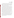US EPA ARCHIVE DOCUMENT

Page 6 of 26 Test/QA Plan for Verification of On-Board Emissions Monitors Version: 1.0

After the dynamometer runs shown in Table 1 are completed, a series of four US06 test cycles will be performed on the vehicle with mid-range emissions. In this series, a single US06 dynamometer run will be performed with the vehicle accessories off at each of three different temperatures (i.e.,  $30^{\circ}$ F,  $75^{\circ}$ F, and  $100^{\circ}$ F). The fourth US06 run will be performed at  $100^{\circ}$ F with the vehicle's air conditioner operating at maximum capacity, to assess whether use of the vehicle's accessories influences the performance of the OEMs.

For all the dynamometer runs, the test facility will measure vehicle emissions by the reference methods described in Section 3.3. The results obtained from these reference methods will be used as the basis of comparison for establishing bias. During each dynamometer run the vehicle emissions will be monitored in real time by the reference methods and by the duplicate OEMs, for total hydrocarbons (THC), carbon monoxide  $(CO)$ , carbon dioxide  $(CO<sub>2</sub>)$ , and nitrogen oxides  $(NO_x)$ . Methane will be monitored by the reference method at the bag level and used to determine non-methane hydrocarbons (NMHC) as needed. Bias and precision will be determined independently for each of these analytes. The performance of the two duplicate OEMs will be based on comparisons between the test level results (e.g., average concentration or g/mi) from each of the duplicate OEMs and the results from the reference methods. These comparisons will be made primarily on the test level, and also on the per-bag level (e.g., the three bags comprising the FTP schedule). Graphical comparisons of the second-by-second data will be used as a secondary comparison to illustrate the transient response of the OEMs.

In the second phase, duplicate on-board monitors will be installed in a test vehicle and the vehicle will be driven over two different routes for at least 15 minutes each. The two routes will be different in nature such that one includes predominantly stop-and-go traffic, and the other includes predominantly sustained high speed traffic. While the test vehicle is driven over these two routes, second-by-second data will be collected by the duplicate on-board emissions monitors. Results from the duplicate monitors will be compared to establish the unit-to-unit reproducibility of the OEMs being verified.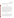Page 7 of 26 Test/QA Plan for Verification of On-Board Emissions Monitors Version: 1.0

Furthermore, general issues of performance, including reliability and ease of use, will be assessed based on observations recorded during the verification test, and will be reported for the OEMs in addition to the overall cost of the monitors.

#### **3.3. Reference Methods**

During this verification test, various analytical methods will be used by the test facility to measure the concentrations of THC,  $CH_4CO$ ,  $CO_2$ , and  $NO_x$  in vehicle emissions. THC concentrations will be measured using a flame ionization detector (FID),  $CH<sub>4</sub>$  will be determined using a gas chromatography (GC) with FID, CO and  $CO<sub>2</sub>$  concentrations will be determined by non-dispersive infrared spectroscopy (NDIR), and  $NO<sub>x</sub>$  concentrations will be measured using a chemiluminescence (CL) analyzer. These methods are described in 40 CFR Part  $86<sup>2</sup>$  and will be the reference methods for this verification test. Results from these methods will serve as the basis of comparison for evaluating the accuracy of the on-board emissions monitor. These analyses, with the exception of  $CH_4$ , will be performed both in real-time and on collected bag samples.  $CH<sub>4</sub>$  will be determined only by analysis of collected bag samples. Non-methane hydrocarbon (NMHC) concentrations will be deduced at the bag level from the difference between the bag level THC and  $CH<sub>4</sub>$  readings.

## **3.4. Test Facility**

The test facility to be used for this verification test will be a recognized emissions testing laboratory with facilities appropriate for chassis dynamometer testing according to 40 CFR Part 86. The test facility will have standard operating procedures in place for the dynamometer runs and laboratory analyses to be performed in this verification and will have trained personnel capable of performing these activities according to those standard procedures. Documentation of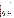Page 8 of 26 Test/QA Plan for Verification of On-Board Emissions Monitors Version: 1.0

the staff qualifications will be provided to Battelle in the form of training records prior to test initiation.

## **3.5. Roles and Responsibilities**

The verification test will be coordinated and supervised by Battelle personnel and will be conducted at a recognized test facility with documented QA procedures in place. Staff from the test facility will participate in this test by operating the dynamometer, and providing the reference measurements. Vendor representatives will install, maintain, and operate their respective technologies throughout the test. Quality assurance oversight will be provided by the Battelle Quality Manager, and, at her discretion, the EPA Pilot Quality Manager. The organizational chart below shows the individuals from Battelle, the vendor companies, EPA, and the test facility who will have responsibilities in the verification test. The specific responsibilities of these individuals are detailed in Figure 1.

## **3.5.1. Battelle**

The Verification Test Coordinator will have the overall responsibility for ensuring that the technical, schedule, and cost goals established for the verification test are met. The Verification Test Coordinator will:

- Prepare the draft test/QA plan, verification reports, and verification statements
- Revise the draft test/QA plan, verification reports, and verification statements in response to the reviewers' comments
- Coordinate testing at testing site
- Ensure that all quality procedures specified in the test/ $QA$  plan and in the  $QMP$ are followed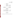Page 9 of 26 Test/QA Plan for Verification of On-Board Emissions Monitors Version: 1.0

![](_page_16_Figure_1.jpeg)

**Figure 1. Organizational Chart for On-Board Vehicle Emissions Monitor Verification Test**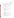Page 10 of 26 Test/QA Plan for Verification of On-Board Emissions Monitors Version: 1.0

- Respond to any issues raised in assessment reports and audits, including instituting corrective action as necessary
- Serve as the primary point of contact for vendor and test facility representatives
- Establish a budget for the verification test and monitor staff effort to ensure that the budget is not exceeded
- Ensure that confidentiality of vendor information is maintained.

The Verification Testing Leader for the AMS pilot will provide technical guidance and oversee various stages of the verification test, and will:

- Support the Verification Test Coordinator in preparing the test/QA plan and organizing the testing
- Review the draft test/QA plan
- Review the draft verification reports and statements
- Ensure that confidentiality of vendor information is maintained.

## Battelle's AMS Pilot Manager will:

- Review the draft test/OA plan
- Review the draft verification reports and statements
- Coordinate distribution of the final test/QA plan, verification reports, and verification statements
- Ensure that necessary Battelle resources, including staff and facilities, are committed to the verification test
- Ensure that vendor confidentiality is maintained
- Support the Verification Test Coordinator in responding to any issues raised in assessment reports and audits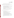Page 11 of 26 Test/QA Plan for Verification of On-Board Emissions Monitors Version: 1.0

Maintain communication with EPA's pilot and quality manager

Battelle will provide a Staff Statistician who will support statistical and data analysis activities for this verification test. As needed, the Staff Statistician will:

- Assist in the conversion of verification data from electronic spreadsheet format to appropriate file format for statistical evaluation
- Support the Verification Test Coordinator in performing statistical calculations specified in this test/QA plan on the verification data
- Provide results of statistical calculations and associated discussion for the verification reports
- Support the Verification Test Coordinator in responding to any issues raised in assessment reports and audits related to statistics and data reduction.

Battelle's Quality Manager for this verification test will:

- Review the draft test/QA plan
- Conduct a technical systems audit once during the verification test
- Audit at least 10% of the verification data
- Prepare and distribute an assessment report for each audit
- Verify implementation of any necessary corrective action
- Issue a stop work order if self audits indicate that data quality is being compromised; notify Battelle AMS Pilot Manager if stop work order is issued
- Provide a summary of the audit activities and results for the verification reports
- Review the draft verification reports and statements
- Have an overall responsibility for ensuring that the test/QA plan and QMP are followed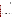Page 12 of 26 Test/QA Plan for Verification of On-Board Emissions Monitors Version: 1.0

- Ensure that Battelle management is informed if persistent quality problems are not corrected
- Interface with EPA's Pilot Quality Manager.

# **3.5.2. Vendors**

Vendor representatives will:

- Review the draft test/QA plan, and provide comments and recommendations
- Approve the revised test/QA plan
- Work with Battelle to commit to a specific schedule for the verification test
- Provide duplicate commercial ready monitors for testing
- Provide an on-site operator(s) throughout the verification test period to install the monitors in the test vehicles, and operate and maintain the monitors during testing
- Remove monitors and other related equipment from test facility upon completion of the verification test
- Review and comment upon their respective draft verification report and statement.

# **3.5.3. EPA**

EPA's responsibilities in the AMS pilot are based on the requirements stated in the "Environmental Technology Verification Program Quality and Management Plan of the Pilot Period (1995-2000)" (QMP)<sup>3</sup>. The roles of the specific EPA staff are as follows:

EPA's Pilot Quality Manager will:

Review the draft test/QA plan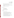Page 13 of 26 Test/QA Plan for Verification of On-Board Emissions Monitors Version: 1.0

- Perform, at her option, one external technical system audit during the verification test
- Notify the Battelle AMS Pilot Manager to facilitate a stop work order if external audit indicates that data quality is being compromised
- Prepare and distribute an assessment report summarizing results of external audit, if performed
- Review draft verification reports and statements.

## EPA's Pilot Manager will:

- Review the draft test/QA plan
- Approve the final test/ $QA$  plan
- Approve the final verification reports
- Review the draft verification statements.

# **3.5.4. Test Facility**

The responsibilities of the test facility are:

- Assist in developing the test/QA plan for the verification test
- Allow facility access to vendor, Battelle, and EPA representatives during the scheduled verification test including set-up and tear-down operations
- Select, secure, and operate vehicles for the dynamometer and road testing
- Perform all reference emissions measurements
- Provide all test data to Battelle electronically, in mutually agreed upon format
- Assist vendor in installation of the OEMs in the test vehicles
- Perform dynamometer runs and associated vehicle preconditioning according to the procedures and schedule described in this test/QA plan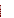Page 14 of 26 Test/QA Plan for Verification of On-Board Emissions Monitors Version: 1.0

- Provide EPA and Battelle staff access to and /or copies of appropriate quality assurance documentation of test equipment and procedures
- Assist in Battelle's reporting of the test facility's QA/QC procedures
- Review portions of the verification report to assure accurate descriptions of the test facility operations, and to provide technical insight on verification results
- Provide safety instructions to test and QA personnel for operations at the test facility.

## **4. TEST PROCEDURES**

## **4.1. Vehicle Recruitment and Inspection**

Three gasoline-fueled vehicles will be recruited and will be inspected by the test facility to ensure suitability for use in the verification test. The test vehicles should include currently popular models which are representative of the on-road fleet. The vehicles should be in good working condition, however, at least one should be a high exhaust emitter, based on the experience of the test facility. The recruited vehicles must have on-board diagnostic ports which are compatible with the OEMs being tested, and should be capable of providing data sufficient to determine vehicle speed in miles per hour (mph), engine speed in revolutions per minute (rpm), and engine torque (or its surrogate). The vehicle identification number for each vehicle will be recorded by Battelle staff in a laboratory record book (LRB) in addition to a general description of the vehicle (i.e., make, model, year, etc.).

The vehicles will be inspected for fuel and exhaust leaks by the test facility prior to testing. Any required vehicle repairs will be documented in the LRB.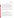Page 15 of 26 Test/QA Plan for Verification of On-Board Emissions Monitors Version: 1.0

## **4.2. Monitor Installation**

The on-board emissions monitors to be verified will be installed by a vendor representative who will ensure that each monitor is calibrated and operating properly before testing begins on each day of testing. The duplicate OEMs will be installed with appropriate plumbing to split the exhaust stream for analysis by the on-board emissions monitors and by the test facility. A leak check will be performed before road testing and each series of dynamometer runs to ensure the integrity of the exhaust sampling assembly. Any observed leaks will be repaired before testing begins. The vehicle battery will be used to power one of the two OEMs and a secondary supply (independent of the vehicle battery) will be used to power the other OEM.

The installation activities (including on-site calibration, repairs, etc.) will be documented by Battelle staff in the LRB. Observations regarding installation time and simplicity, ease of use, practicality, passenger safety, etc., in the verification report will be based on the installation of a single unit.

## **4.3. Dynamometer Testing**

Dynamometer runs will be performed according to the schedule shown in Table 2, and will be conducted with the vehicle accessories off, except where noted. Documentation of the run conditions will be performed by the test facility and will be in accordance with 40 CFR Part 86. This documentation will be provided to Battelle.

As this test is not designed to determine emission rates for the test vehicles, strict adherence to soak and preconditioning procedures described in 40 CFR Part 86 is not necessary. However, conditions should be consistent for replicate runs of each test cycle. After the vehicle soak (12-36 hours), the test vehicle will be placed on the dynamometer and prepared for testing. An FTP cycle will be performed with the intent of immediately performing a US06 cycle within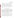10 minutes of the completion of the FTP test. If the US06 cycle is not started within 10 minutes of completion of the previous cycle, the first 505 seconds of the FTP driving cycle will be performed to condition the vehicle. Alternate FTP and US06 cycles will be performed in sequence on the three vehicles on each of three test days. On the fourth day of testing a series of three US06 test cycles will be performed including one at each of the following temperatures:  $30^{\circ}$ F,  $75^{\circ}$ F, and  $100^{\circ}$ F. These tests will be conducted using the vehicle with the mid-range emissions as established by the previous testing. After this sequence of temperature tests, an additional US06 cycle will be performed at 100 F with the vehicles air conditioner operating at maximum capacity.

| Day 1            | Day 2            | Day 3            | Day 4                               |
|------------------|------------------|------------------|-------------------------------------|
| Vehicle 1 - FTP  | Vehicle 1 - FTP  | Vehicle 1 - FTP  | Vehicle $2 - US06 \t@ 30^{\circ}F$  |
| Vehicle 1 - US06 | Vehicle 1 - US06 | Vehicle 1 - US06 | Vehicle 2 - US06 @ $75^{\circ}$ F   |
| Vehicle 2 - FTP  | Vehicle 2 - FTP  | Vehicle 2 - FTP  | Vehicle $2 - US06 \ @ 100^{\circ}F$ |
| Vehicle 2 - US06 | Vehicle 2 - US06 | Vehicle 2 - US06 | Vehicle 2 - US06 w/AC               |
| Vehicle 3 - FTP  | Vehicle 3 - FTP  | Vehicle 3 - FTP  |                                     |
| Vehicle 3 - US06 | Vehicle 3 - US06 | Vehicle 3 - US06 |                                     |

**Table 2. Schedule for Dynamometer Runs** 

For each driving cycle, the exhaust emissions and engine activity data will be monitored by both the test facility reference methods and the duplicate OEMs. The test facility will record and report the data on THC,  $CH_4$ , CO,  $CO_2$ , and NO<sub>x</sub> emissions at the test, bag, and second-bysecond level. Similarly, the OEM will record THC/NMHC, CO,  $CO_2$ , NO<sub>x</sub>, and  $O_2$  at the test, bag, and second-by-second level. Summary values of the second-by-second values will be compared with the corresponding bag values to assess agreement for the reference measurements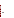Page 17 of 26 Test/QA Plan for Verification of On-Board Emissions Monitors Version: 1.0

of  $CO_2$ , NO<sub>x</sub> and THC. Agreement between the two values should be within 5.0%, 10%, and 15%, respectively. Tests not meeting these criteria will be reviewed as to their validity or impact on the verification results and repeated if possible and if necessary.

## **4.4. Road Testing**

Each of the three test vehicles used in the dynamometer tests described above will be driven on two separate routes over public roads while the duplicate OEMs record second-bysecond data for THC/NMHC, CO,  $CO_2$ ,  $O_2$ , and  $NO_x$ . Engine data will be recorded either by the OEMs being tested or by a laptop computer. Weather conditions and observations concerning traffic and vehicle operation will be recorded in a LRB by the vehicle operator. The vehicles will begin the road testing with a full tank of suitable locally available gasoline and will complete the two driving routes in succession (i.e., on the same trip). The routes to be driven should be such that they include the following conditions:

- a) at least 15 minutes of stop and go traffic through a central business district
- b) at least 15 minutes of sustained high speed driving on a freeway.

Tests routes will be consistent from vehicle to vehicle and from test to test (i.e., different OEM verification tests). Effort will be made to conduct testing under similar driving conditions (i.e., time of day, weather conditions) for the verification tests of different OEMs.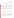Page 18 of 26 Test/QA Plan for Verification of On-Board Emissions Monitors Version: 1.0

# **5. QUALITY ASSURANCE/QUALITY CONTROL**

## **5.1. Calibration**

The dynamometer and laboratory instrumentation to be used in this verification test will be calibrated by the test facility according to the standard operating procedures and schedules in place at the test facility. These calibration specifications must meet or exceed those described in 40 CFR 86.<sup>2</sup> Documentation of these calibrations will be provided to Battelle by the test facility prior to test initiation.

If not required by the reference methods or by the standard operating procedures of the test facility, calibration verifications of specific instrumentation will be performed at the request of Battelle during the verification test. The results of the calibration verifications will be provided to Battelle.

#### **5.2. Audits**

Independent of test facility and EPA QA activities, Battelle will be responsible for ensuring that the following audits are conducted as part of this verification test.

#### **5.2.1. Pre-test Facility Audit**

At least two weeks prior to verification testing, the Verification Test Coordinator and/or the Battelle Quality Manager may conduct an audit of the test facility chosen to conduct the verification test. If performed, this audit will be conducted to ensure that the test facility has the equipment necessary to perform the verification test and that a satisfactory QA/QC program is implemented at the test facility. The audit should include at least a tour of the dynamometer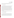Page 19 of 26 Test/QA Plan for Verification of On-Board Emissions Monitors Version: 1.0

facilities and review of appropriate standard operating procedures and calibration records. If possible the audit will also include observation of on-going dynamometer testing.

## **5.2.2. Technical Systems Audits**

Battelle's Quality Manager will perform a technical systems audit at least once during this verification test. The purpose of this audit is to ensure that the verification test is being performed in accordance with the AMS QMP, this test/QA plan, referenced methods, and any standard operating procedures used by the test facility. In this audit, the Battelle Quality Manager will review the reference methods used, compare actual test procedures to those specified or referenced in this plan, and review data acquisition and handling procedures. This effort will include reviewing the actual procedures used at the test facility for compliance with this test/QA plan and with the standard operating procedures for the test facility. A Technical Systems Audit (TSA) report will be prepared, including a statement of findings and the actions taken to address any adverse findings. The EPA Pilot Quality Manager will receive a copy of Battelle's TSA report.

At EPA's discretion, the EPA Pilot Quality Manager may also conduct an independent TSA of the verification testing procedures.

## **5.2.3. Performance Evaluation Audits**

A performance evaluation audit will be conducted to assess the quality of the reference measurements made in this verification test. This audit will address only the emissions measurements provided by the reference methods. The audit will be performed by analyzing a NIST-traceable calibration gas standard that is independent of those used by the test facility during the testing. The acceptance criteria for the results of this audit are identical to those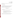Page 20 of 26 Test/QA Plan for Verification of On-Board Emissions Monitors Version: 1.0

already in place at the test facility for calibration verification. This audit will be performed once during the verification test.

## **5.2.4. Audits of Data Quality**

Battelle's Quality Manager will audit at least 10 percent of the verification data acquired during the verification test. The Battelle Quality Manager will trace the data from initial acquisition, through reduction and statistical comparisons, and to final reporting. All calculations performed on the data undergoing the audit will be checked.

## **5.3. Reporting of Audits**

Each audit will be documented in accordance with the AMS pilot  $QMP<sup>1</sup>$ . Audit reports will include the following:

- Identification of any adverse findings or potential problems
- Corrective actions that address adverse findings or potential problems
- Confirmation by Battelle's Quality Manager that the corrective actions have been implemented and are effective
- Citation of any noteworthy practices that may be of use to others.

All audit reports will be reviewed by the AMS Pilot Manager, and Verification Testing Leader. A copy will be sent to the EPA Pilot Quality Manager and the EPA Pilot Manager.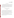Page 21 of 26 Test/QA Plan for Verification of On-Board Emissions Monitors Version: 1.0

## **5.4. Corrective Action**

The Battelle or EPA Pilot Quality Manager during the course of any audit will identify to the technical staff performing experimental activities any immediate corrective action that should be taken. If serious quality problems exist, the Battelle Quality Manager is authorized to stop work. Once the audit report has been prepared, the Verification Test Coordinator will ensure that a response is provided for each adverse finding or potential problem, and will implement any necessary follow-up corrective action. The Battelle Quality Manager will ensure that follow-up corrective action has been taken.

## **6. DATA HANDLING AND REPORTING**

## **6.1. Data Review**

Data generated by the test facility and vendors in the verification test will be provided to Battelle and will be reviewed by the Verification Test Coordinator before they are used to calculate, evaluate, or report verification results. These data will include electronic data; entries in laboratory record books; operating data from the test facility; and equipment calibration records. The review will be documented by the person performing the review by adding his/her initials and date to a hard copy of the record being reviewed. This hard copy will be placed in the files of this verification test by the Verification Test Coordinator.

In addition, data calculations performed by Battelle will be spot-checked by Battelle technical staff to ensure that calculations are performed correctly. Calculations to be checked include determination of accuracy, intra-method precision, and other statistical calculations as identified in Section 6.2 of this test/QA plan.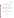## **6.2. Statistical Calculations**

Performance verification is based, in part, on statistical comparisons of the average concentration results or g/mi results from the on-board emissions monitor to results from the reference methods. A summary of the calculations to be made is given below.

#### **6.2.1 Bias**

The bias of each of the duplicate OEMs will be assessed at the test level based on the percent difference between the average concentration measurements or the g/mi emission rates from the OEM relative to the reference method. For each individual dynamometer run the percent difference,  $d_i$ , between the OEM and the reference method results will be calculated as:

$$
d_i = \frac{Y_i - X_i}{X_i} \times 100\tag{1}
$$

where  $Y_i$  represents the test level results from the OEM, and  $X_i$  represents the test level results of the reference method for a given analyte. The average, *D*, and standard deviation, *s*, of these individual bias results will be calculated from:

and 
$$
D = \frac{\sum_{i=1}^{n} d_i}{n}
$$
 (2)

$$
s = \sqrt{\frac{\left(\sum_{i=1}^{n} d_i^2\right) - \left(nD^2\right)}{n-1}}
$$
\n(3)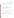Page 23 of 26 Test/QA Plan for Verification of On-Board Emissions Monitors Version: 1.0

where *n* is the total number of dynamometer runs. The standard deviation and average difference will be used to calculate the upper (UL) and lower (LL) 95% confidence limits for the bias of each monitor according to:

and

$$
UL = D + t_{0.975} (s)
$$
 (4)

$$
LL = D - t_{0.975} (s)
$$
 (5)

where  $t_{0.975}$  is the 0.975 quantile of the Student's t distribution with n-1 degrees of freedom. Bias will be calculated independently for each of the duplicate monitors and each analyte. Additionally, bias will be calculated independently for each vehicle and for each test cycle (i.e., FTP, US06).

#### **6.2.2. Precision**

Intra-method precision will be calculated based on the percent difference in the readings of the duplicate monitors relative to the mean of the readings, as shown below:

$$
d_i = \frac{Y_i - Y_i}{(Y_i + Y_i)/2} \times 100
$$
 (6)

where  $Y_i$  and  $Y_i$  are the test level results for a given analyte from the two duplicate monitors for each test cycle *i*. The coefficient of variation,  $CV_i$ , for each dynamometer run and vehicle will be calculated according to Equation (7).

$$
CV_i = \left| \frac{d_i}{\sqrt{2}} \right| \tag{7}
$$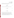Page 24 of 26 Test/QA Plan for Verification of On-Board Emissions Monitors Version: 1.0

The individual coefficients of variation for all test cycles and vehicles will be pooled according to Equation (8) to determine the overall precision of the monitors.

$$
CV = \sqrt{\frac{\sum_{i=1}^{n} (CV_i)^2}{n}}
$$
 (8)

The upper (UL) and lower (LL) 90% confidence limits for the monitor's CV are given by,

$$
LL = CV \sqrt{\frac{n}{\chi^2_{0.95,n}}}
$$
 (9)

and,

$$
UL = CV \sqrt{\frac{n}{\chi^2_{0.05,n}}}
$$
 (10)

where *n* is the number of degrees of freedom, and  $\chi^2_{0.95,n}$  and  $\chi^2_{0.05,n}$  are the 0.95 and 0.05 quantiles, respectively, of the  $c^2$  distribution with *n* degrees of freedom. Precision will be assessed independently for each analyte, as well as for each vehicle and each test cycle.

Supplemental comparisons will be made at the second-by-second level to determine the instantaneous unit-to-unit reproducibility of the duplicate monitors. As with the test level results, these comparisons will be made based on a percent difference calculation.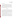Page 25 of 26 Test/QA Plan for Verification of On-Board Emissions Monitors Version: 1.0

#### **6.2.3 Other Comparisons**

Second-by-second data from the OBD port and the on-board emissions monitor will be compared graphically to illustrate temporal correlations between the vehicle operational parameters and the measured components in the vehicle exhaust. Likewise, second-by-second data from the reference analyzers will be compared visually against those from the OEM to illustrate temporal correlations. No statistical evaluations will be made of these second-bysecond comparisons owing to likely differences in the lag times and response times between the reference analyzers and the OEMs. For the on road tests, second by second comparisons will be made between the results of the duplicate analyzers.

## **6.3. Reporting**

The statistical comparisons that result from each of the tests described above will be conducted separately for each of the two units of each technology being verified, and information on the additional performance parameters will be compiled and reported. Separate verification reports will then be prepared, each addressing a technology provided by one commercial vendor. Each report will show separate verification results from the two units undergoing testing, along with calculations of the unit-to-unit reproducibility of the technology. For each test conducted in this verification, the verification report will present the test procedures and test data, as well as the results of the statistical evaluation of those data.

The verification report will briefly describe the ETV program and the AMS pilot, and will describe the procedures used in verification testing. These sections will be common to each verification report resulting from this verification test. The results of the verification test will then be stated quantitatively, without comparison to any other technology tested, or comment on the acceptability of the technology's performance. The preparation of draft verification reports, the review of reports by vendors and others, the revision of the reports, final approval, and the